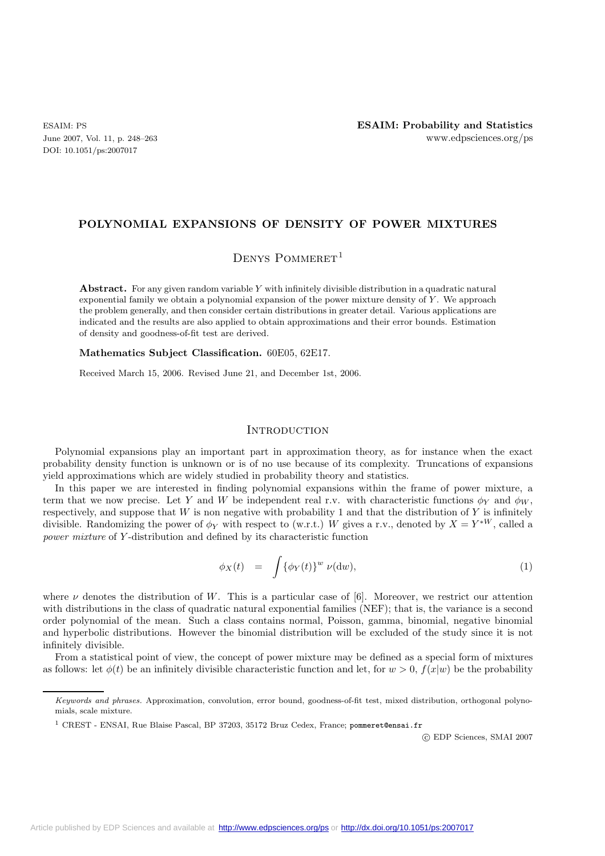DOI: 10.1051/ps:2007017

## **POLYNOMIAL EXPANSIONS OF DENSITY OF POWER MIXTURES**

DENYS POMMERET<sup>1</sup>

**Abstract.** For any given random variable *Y* with infinitely divisible distribution in a quadratic natural exponential family we obtain a polynomial expansion of the power mixture density of *Y* . We approach the problem generally, and then consider certain distributions in greater detail. Various applications are indicated and the results are also applied to obtain approximations and their error bounds. Estimation of density and goodness-of-fit test are derived.

**Mathematics Subject Classification.** 60E05, 62E17.

Received March 15, 2006. Revised June 21, and December 1st, 2006.

## **INTRODUCTION**

Polynomial expansions play an important part in approximation theory, as for instance when the exact probability density function is unknown or is of no use because of its complexity. Truncations of expansions yield approximations which are widely studied in probability theory and statistics.

In this paper we are interested in finding polynomial expansions within the frame of power mixture, a term that we now precise. Let Y and W be independent real r.v. with characteristic functions  $\phi_Y$  and  $\phi_W$ , respectively, and suppose that  $W$  is non negative with probability 1 and that the distribution of  $Y$  is infinitely divisible. Randomizing the power of  $\phi_Y$  with respect to (w.r.t.) W gives a r.v., denoted by  $X = Y^{*W}$ , called a *power mixture* of Y-distribution and defined by its characteristic function

$$
\phi_X(t) = \int {\{\phi_Y(t)\}}^w \nu(\mathrm{d}w), \tag{1}
$$

where  $\nu$  denotes the distribution of W. This is a particular case of [6]. Moreover, we restrict our attention with distributions in the class of quadratic natural exponential families (NEF); that is, the variance is a second order polynomial of the mean. Such a class contains normal, Poisson, gamma, binomial, negative binomial and hyperbolic distributions. However the binomial distribution will be excluded of the study since it is not infinitely divisible.

From a statistical point of view, the concept of power mixture may be defined as a special form of mixtures as follows: let  $\phi(t)$  be an infinitely divisible characteristic function and let, for  $w > 0$ ,  $f(x|w)$  be the probability

c EDP Sciences, SMAI 2007

*Keywords and phrases.* Approximation, convolution, error bound, goodness-of-fit test, mixed distribution, orthogonal polynomials, scale mixture.

<sup>&</sup>lt;sup>1</sup> CREST - ENSAI, Rue Blaise Pascal, BP 37203, 35172 Bruz Cedex, France; pommeret@ensai.fr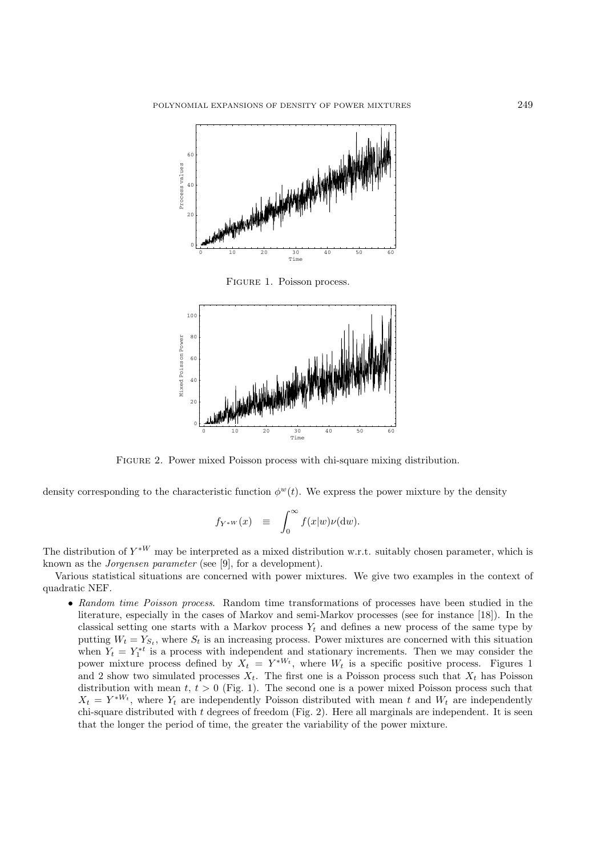

Figure 1. Poisson process.



Figure 2. Power mixed Poisson process with chi-square mixing distribution.

density corresponding to the characteristic function  $\phi^w(t)$ . We express the power mixture by the density

$$
f_{Y^*W}(x) \equiv \int_0^\infty f(x|w)\nu(\mathrm{d}w).
$$

The distribution of  $Y^{\ast W}$  may be interpreted as a mixed distribution w.r.t. suitably chosen parameter, which is known as the *Jorgensen parameter* (see [9], for a development).

Various statistical situations are concerned with power mixtures. We give two examples in the context of quadratic NEF.

• *Random time Poisson process*. Random time transformations of processes have been studied in the literature, especially in the cases of Markov and semi-Markov processes (see for instance [18]). In the classical setting one starts with a Markov process  $Y_t$  and defines a new process of the same type by putting  $W_t = Y_{S_t}$ , where  $S_t$  is an increasing process. Power mixtures are concerned with this situation when  $Y_t = Y_1^{*t}$  is a process with independent and stationary increments. Then we may consider the power mixture process defined by  $X_t = Y^{*W_t}$ , where  $W_t$  is a specific positive process. Figures 1 and 2 show two simulated processes  $X_t$ . The first one is a Poisson process such that  $X_t$  has Poisson distribution with mean  $t, t > 0$  (Fig. 1). The second one is a power mixed Poisson process such that  $X_t = Y^{*W_t}$ , where  $Y_t$  are independently Poisson distributed with mean t and  $W_t$  are independently chi-square distributed with t degrees of freedom (Fig. 2). Here all marginals are independent. It is seen that the longer the period of time, the greater the variability of the power mixture.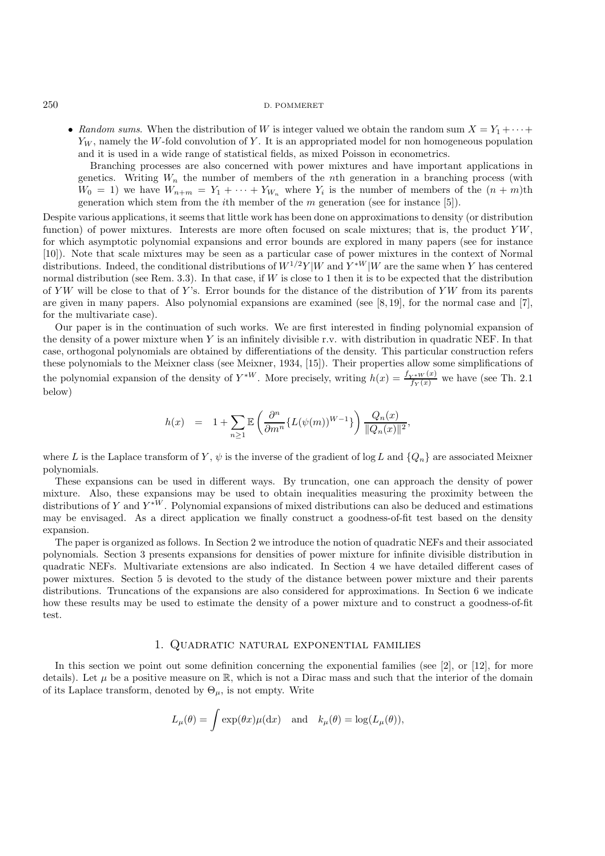• *Random sums*. When the distribution of W is integer valued we obtain the random sum  $X = Y_1 + \cdots$  $Y_W$ , namely the W-fold convolution of Y. It is an appropriated model for non homogeneous population and it is used in a wide range of statistical fields, as mixed Poisson in econometrics.

Branching processes are also concerned with power mixtures and have important applications in genetics. Writing  $W_n$  the number of members of the nth generation in a branching process (with  $W_0 = 1$ ) we have  $W_{n+m} = Y_1 + \cdots + Y_{W_n}$  where  $Y_i$  is the number of members of the  $(n+m)$ th generation which stem from the *i*th member of the m generation (see for instance [5]).

Despite various applications, it seems that little work has been done on approximations to density (or distribution function) of power mixtures. Interests are more often focused on scale mixtures; that is, the product  $YW$ , for which asymptotic polynomial expansions and error bounds are explored in many papers (see for instance [10]). Note that scale mixtures may be seen as a particular case of power mixtures in the context of Normal distributions. Indeed, the conditional distributions of  $W^{1/2}Y|W$  and  $Y^*W|W$  are the same when Y has centered normal distribution (see Rem. 3.3). In that case, if  $W$  is close to 1 then it is to be expected that the distribution of YW will be close to that of Y's. Error bounds for the distance of the distribution of YW from its parents are given in many papers. Also polynomial expansions are examined (see [8, 19], for the normal case and [7], for the multivariate case).

Our paper is in the continuation of such works. We are first interested in finding polynomial expansion of the density of a power mixture when Y is an infinitely divisible r.v. with distribution in quadratic NEF. In that case, orthogonal polynomials are obtained by differentiations of the density. This particular construction refers these polynomials to the Meixner class (see Meixner, 1934, [15]). Their properties allow some simplifications of the polynomial expansion of the density of  $Y^{*W}$ . More precisely, writing  $h(x) = \frac{f_{Y^{*W}}(x)}{f_Y(x)}$  we have (see Th. 2.1) below)

$$
h(x) = 1 + \sum_{n\geq 1} \mathbb{E}\left(\frac{\partial^n}{\partial m^n} \{L(\psi(m))^{W-1}\}\right) \frac{Q_n(x)}{\|Q_n(x)\|^2},
$$

where L is the Laplace transform of Y,  $\psi$  is the inverse of the gradient of log L and  $\{Q_n\}$  are associated Meixner polynomials.

These expansions can be used in different ways. By truncation, one can approach the density of power mixture. Also, these expansions may be used to obtain inequalities measuring the proximity between the distributions of Y and  $Y^{\ast W}$ . Polynomial expansions of mixed distributions can also be deduced and estimations may be envisaged. As a direct application we finally construct a goodness-of-fit test based on the density expansion.

The paper is organized as follows. In Section 2 we introduce the notion of quadratic NEFs and their associated polynomials. Section 3 presents expansions for densities of power mixture for infinite divisible distribution in quadratic NEFs. Multivariate extensions are also indicated. In Section 4 we have detailed different cases of power mixtures. Section 5 is devoted to the study of the distance between power mixture and their parents distributions. Truncations of the expansions are also considered for approximations. In Section 6 we indicate how these results may be used to estimate the density of a power mixture and to construct a goodness-of-fit test.

## 1. Quadratic natural exponential families

In this section we point out some definition concerning the exponential families (see [2], or [12], for more details). Let  $\mu$  be a positive measure on R, which is not a Dirac mass and such that the interior of the domain of its Laplace transform, denoted by  $\Theta_{\mu}$ , is not empty. Write

$$
L_{\mu}(\theta) = \int \exp(\theta x) \mu(dx)
$$
 and  $k_{\mu}(\theta) = \log(L_{\mu}(\theta)),$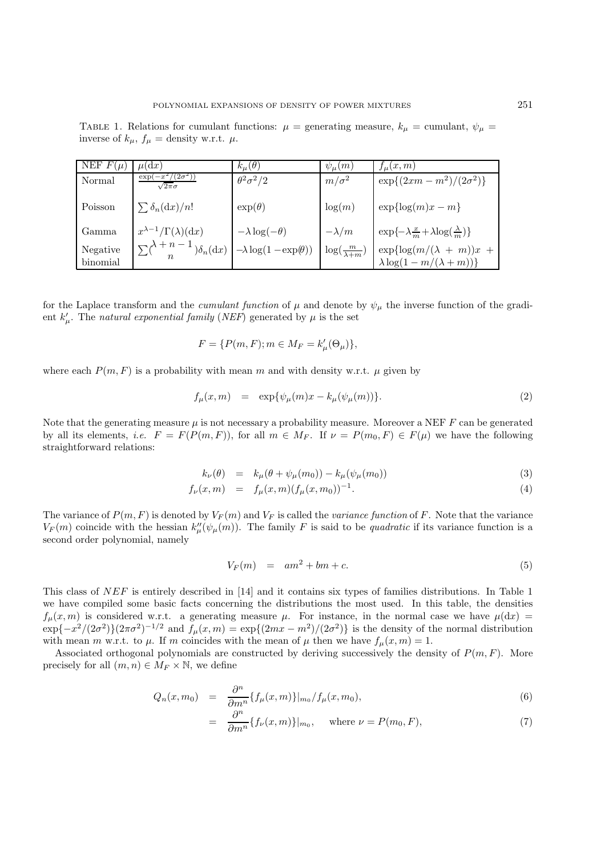TABLE 1. Relations for cumulant functions:  $\mu$  = generating measure,  $k_{\mu}$  = cumulant,  $\psi_{\mu}$  = inverse of  $k_{\mu}$ ,  $f_{\mu} =$  density w.r.t.  $\mu$ .

| NEF $F(\mu)$         | $\mu(dx)$                                                    | $k_\mu(\theta)$                   | $\psi_{\mu}(m)$             | $f_u(x,m)$                                                              |
|----------------------|--------------------------------------------------------------|-----------------------------------|-----------------------------|-------------------------------------------------------------------------|
| Normal               | $-x^2/(2\sigma^2)$<br>exp(<br>$\sqrt{2\pi}\sigma$            | $\theta^2 \sigma^2/2$             | $m/\sigma^2$                | $\exp\{(2xm-m^2)/(2\sigma^2)\}\$                                        |
| Poisson              | $\sum \delta_n(\mathrm{d}x)/n!$                              | $\exp(\theta)$                    | log(m)                      | $\exp{\log(m)x - m}$                                                    |
| Gamma                | $x^{\lambda-1}/\Gamma(\lambda)(dx)$                          | $-\lambda \log(-\theta)$          | $-\lambda/m$                | $\exp\{-\lambda \frac{x}{m} + \lambda \log(\frac{\lambda}{m})\}$        |
| Negative<br>binomial | $\sum_{n} \lambda + n - 1 \choose n$ $\delta_n(\mathrm{d}x)$ | $-\lambda \log(1 - \exp(\theta))$ | $\log(\frac{m}{\lambda+m})$ | $\exp{\log(m/(\lambda + m))x}$ +<br>$\lambda \log(1 - m/(\lambda + m))$ |

for the Laplace transform and the *cumulant function* of  $\mu$  and denote by  $\psi_{\mu}$  the inverse function of the gradient  $k'_{\mu}$ . The *natural exponential family* (*NEF*) generated by  $\mu$  is the set

$$
F = \{ P(m, F); m \in M_F = k'_\mu(\Theta_\mu) \},
$$

where each  $P(m, F)$  is a probability with mean m and with density w.r.t.  $\mu$  given by

$$
f_{\mu}(x,m) = \exp{\{\psi_{\mu}(m)x - k_{\mu}(\psi_{\mu}(m))\}}.
$$
 (2)

Note that the generating measure  $\mu$  is not necessary a probability measure. Moreover a NEF  $F$  can be generated by all its elements, *i.e.*  $F = F(P(m, F))$ , for all  $m \in M_F$ . If  $\nu = P(m_0, F) \in F(\mu)$  we have the following straightforward relations:

$$
k_{\nu}(\theta) = k_{\mu}(\theta + \psi_{\mu}(m_0)) - k_{\mu}(\psi_{\mu}(m_0))
$$
\n(3)

$$
f_{\nu}(x,m) = f_{\mu}(x,m)(f_{\mu}(x,m_0))^{-1}.
$$
\n(4)

The variance of  $P(m, F)$  is denoted by  $V_F(m)$  and  $V_F$  is called the *variance function* of F. Note that the variance  $V_F(m)$  coincide with the hessian  $k''_{\mu}(\psi_{\mu}(m))$ . The family F is said to be *quadratic* if its variance function is a second order polynomial, namely

$$
V_F(m) = am^2 + bm + c. \tag{5}
$$

This class of NEF is entirely described in [14] and it contains six types of families distributions. In Table 1 we have compiled some basic facts concerning the distributions the most used. In this table, the densities  $f_{\mu}(x,m)$  is considered w.r.t. a generating measure  $\mu$ . For instance, in the normal case we have  $\mu(dx)$  =  $\exp\{-x^2/(2\sigma^2)\}(2\pi\sigma^2)^{-1/2}$  and  $f_\mu(x,m) = \exp\{(2mx-m^2)/(2\sigma^2)\}\)$  is the density of the normal distribution with mean m w.r.t. to  $\mu$ . If m coincides with the mean of  $\mu$  then we have  $f_{\mu}(x, m) = 1$ .

Associated orthogonal polynomials are constructed by deriving successively the density of  $P(m, F)$ . More precisely for all  $(m, n) \in M_F \times \mathbb{N}$ , we define

$$
Q_n(x,m_0) = \frac{\partial^n}{\partial m^n} \{f_\mu(x,m)\}|_{m_0} / f_\mu(x,m_0), \tag{6}
$$

$$
= \frac{\partial^n}{\partial m^n} \{ f_\nu(x, m) \} |_{m_0}, \quad \text{where } \nu = P(m_0, F), \tag{7}
$$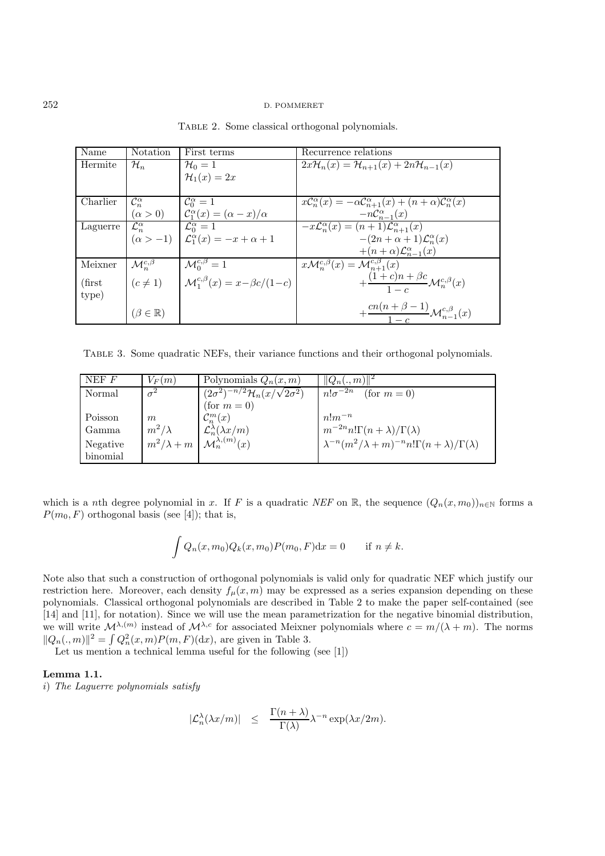| Name            | Notation                  | First terms                                                     | Recurrence relations                                                                                       |
|-----------------|---------------------------|-----------------------------------------------------------------|------------------------------------------------------------------------------------------------------------|
| Hermite         | $\mathcal{H}_n$           | $\mathcal{H}_0=1$                                               | $2x\mathcal{H}_n(x)=\mathcal{H}_{n+1}(x)+2n\mathcal{H}_{n-1}(x)$                                           |
|                 |                           | $\mathcal{H}_1(x)=2x$                                           |                                                                                                            |
|                 |                           |                                                                 |                                                                                                            |
| Charlier        | $\mathcal{C}_n^{\alpha}$  | $\mathcal{C}_{0}^{\alpha}=1$                                    | $x\mathcal{C}_n^{\alpha}(x) = -\alpha \mathcal{C}_{n+1}^{\alpha}(x) + (n+\alpha)\mathcal{C}_n^{\alpha}(x)$ |
|                 | $(\alpha > 0)$            | $\mathcal{C}_1^{\alpha}(x) = (\alpha - x)/\alpha$               | $-nC_{n-1}^{\alpha}(x)$                                                                                    |
| Laguerre        | $\mathcal{L}_n^{\alpha}$  | $\mathcal{L}_0^{\alpha} = 1$                                    | $-x\mathcal{L}_n^{\alpha}(x) = (n+1)\mathcal{L}_{n+1}^{\alpha}(x)$                                         |
|                 |                           | $(\alpha > -1)$ $\mathcal{L}_{1}^{\alpha}(x) = -x + \alpha + 1$ | $-(2n+\alpha+1)\mathcal{L}_{n}^{\alpha}(x)$                                                                |
|                 |                           |                                                                 | $+(n+\alpha)\mathcal{L}_{n-1}^{\alpha}(x)$                                                                 |
| Meixner         | $\mathcal{M}_n^{c,\beta}$ | $\mathcal{M}_0^{c,\beta}=1$                                     | $x\mathcal{M}_{n}^{c,\beta}(x)=\overline{\mathcal{M}_{n+1}^{c,\beta}(x)}$                                  |
| $(\text{first}$ | $(c \neq 1)$              | $\mathcal{M}_1^{c,\beta}(x) = x - \beta c/(1-c)$                | $+\frac{(1+c)n+\beta c}{1-c}\mathcal{M}_n^{c,\beta}(x)$                                                    |
| type)           |                           |                                                                 |                                                                                                            |
|                 | $(\beta \in \mathbb{R})$  |                                                                 | $+\frac{cn(n+\beta-1)}{1-c}\mathcal{M}_{n-1}^{c,\beta}(x)$                                                 |

TABLE 2. Some classical orthogonal polynomials.

Table 3. Some quadratic NEFs, their variance functions and their orthogonal polynomials.

| NEF F    | $V_F(m)$          | Polynomials $Q_n(x,m)$                                       | $  Q_n(.,m)  ^2$                                                               |
|----------|-------------------|--------------------------------------------------------------|--------------------------------------------------------------------------------|
| Normal   | $\sigma^2$        | $\sqrt{(2\sigma^2)^{-n/2}}\mathcal{H}_n(x/\sqrt{2}\sigma^2)$ | $n!\sigma^{-2n}$<br>(for $m=0$ )                                               |
|          |                   | (for $m = 0$ )                                               |                                                                                |
| Poisson  | m                 | $\mathcal{C}_n^m(x)$                                         | $n!m^{-n}$                                                                     |
| Gamma    | $m^2/\lambda$     | $\mathcal{L}_n^{\lambda}(\lambda x/m)$                       | $m^{-2n}n!\Gamma(n+\lambda)/\Gamma(\lambda)$                                   |
| Negative | $m^2/\lambda + m$ | $\mathcal{M}_n^{\lambda,(m)}(x)$                             | $\lambda^{-n} (m^2/\lambda + m)^{-n} n! \Gamma(n + \lambda) / \Gamma(\lambda)$ |
| binomial |                   |                                                              |                                                                                |

which is a nth degree polynomial in x. If F is a quadratic *NEF* on R, the sequence  $(Q_n(x, m_0))_{n\in\mathbb{N}}$  forms a  $P(m_0, F)$  orthogonal basis (see [4]); that is,

$$
\int Q_n(x, m_0) Q_k(x, m_0) P(m_0, F) dx = 0 \quad \text{if } n \neq k.
$$

Note also that such a construction of orthogonal polynomials is valid only for quadratic NEF which justify our restriction here. Moreover, each density  $f_{\mu}(x, m)$  may be expressed as a series expansion depending on these polynomials. Classical orthogonal polynomials are described in Table 2 to make the paper self-contained (see [14] and [11], for notation). Since we will use the mean parametrization for the negative binomial distribution, we will write  $\mathcal{M}^{\lambda,(m)}$  instead of  $\mathcal{M}^{\lambda,c}$  for associated Meixner polynomials where  $c = m/(\lambda + m)$ . The norms  $||Q_n(.,m)||^2 = \int Q_n^2(x,m)P(m,F)(dx)$ , are given in Table 3.

Let us mention a technical lemma useful for the following (see  $[1]$ )

# **Lemma 1.1.**

i) *The Laguerre polynomials satisfy*

$$
|\mathcal{L}_n^{\lambda}(\lambda x/m)| \leq \frac{\Gamma(n+\lambda)}{\Gamma(\lambda)} \lambda^{-n} \exp(\lambda x/2m).
$$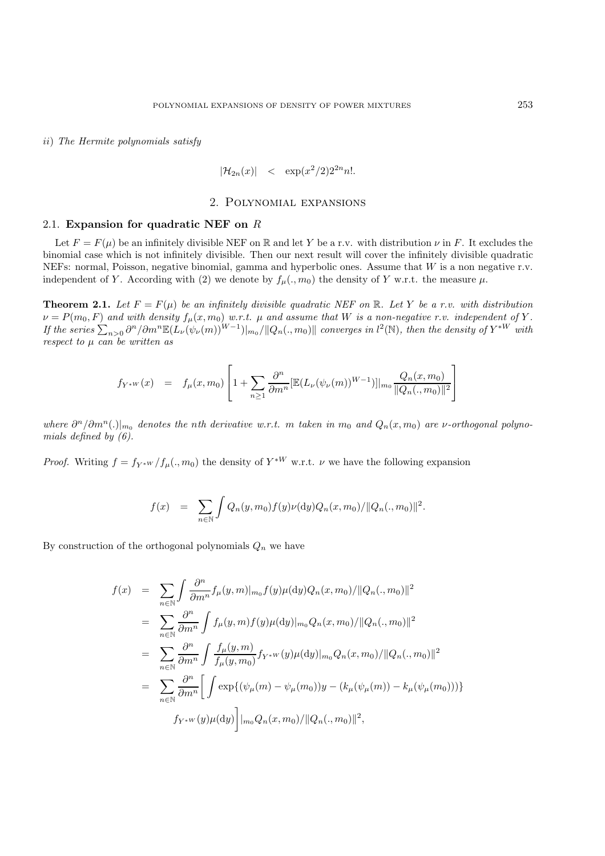ii) *The Hermite polynomials satisfy*

$$
|\mathcal{H}_{2n}(x)| \leq \exp(x^2/2)2^{2n}n!.
$$

## 2. Polynomial expansions

#### 2.1. **Expansion for quadratic NEF on** R

Let  $F = F(\mu)$  be an infinitely divisible NEF on R and let Y be a r.v. with distribution  $\nu$  in F. It excludes the binomial case which is not infinitely divisible. Then our next result will cover the infinitely divisible quadratic NEFs: normal, Poisson, negative binomial, gamma and hyperbolic ones. Assume that W is a non negative r.v. independent of Y. According with (2) we denote by  $f_{\mu}(., m_0)$  the density of Y w.r.t. the measure  $\mu$ .

**Theorem 2.1.** Let  $F = F(\mu)$  be an infinitely divisible quadratic NEF on R. Let Y be a r.v. with distribution  $\nu = P(m_0, F)$  and with density  $f_\mu(x, m_0)$  w.r.t.  $\mu$  and assume that  $W$  is a non-negative r.v. independent of  $Y$ .  $\int$  *If the series*  $\sum_{n>0} \frac{\partial^n}{\partial m^n} \mathbb{E}(L_\nu(\psi_\nu(m))^{W-1})|_{m_0}/\|Q_n(.,m_0)\|$  converges in l<sup>2</sup>(N), then the density of  $Y^{*W}$  with *respect to* µ *can be written as*

$$
f_{Y^{*W}}(x) = f_{\mu}(x, m_0) \left[ 1 + \sum_{n \ge 1} \frac{\partial^n}{\partial m^n} [\mathbb{E}(L_{\nu}(\psi_{\nu}(m))^{W-1})]|_{m_0} \frac{Q_n(x, m_0)}{\|Q_n(., m_0)\|^2} \right]
$$

*where*  $\partial^n/\partial m^n(.)|_{m_0}$  *denotes the nth derivative w.r.t.* m *taken* in  $m_0$  and  $Q_n(x,m_0)$  are v-orthogonal polyno*mials defined by (6).*

*Proof.* Writing  $f = f_{Y^*W}/f_\mu(., m_0)$  the density of  $Y^{*W}$  w.r.t.  $\nu$  we have the following expansion

$$
f(x) = \sum_{n \in \mathbb{N}} \int Q_n(y, m_0) f(y) \nu(\mathrm{d}y) Q_n(x, m_0) / ||Q_n(., m_0)||^2.
$$

By construction of the orthogonal polynomials  $Q_n$  we have

$$
f(x) = \sum_{n \in \mathbb{N}} \int \frac{\partial^n}{\partial m^n} f_\mu(y, m)|_{m_0} f(y) \mu(\mathrm{d}y) Q_n(x, m_0)/||Q_n(., m_0)||^2
$$
  
\n
$$
= \sum_{n \in \mathbb{N}} \frac{\partial^n}{\partial m^n} \int f_\mu(y, m) f(y) \mu(\mathrm{d}y)|_{m_0} Q_n(x, m_0)/||Q_n(., m_0)||^2
$$
  
\n
$$
= \sum_{n \in \mathbb{N}} \frac{\partial^n}{\partial m^n} \int \frac{f_\mu(y, m)}{f_\mu(y, m_0)} f_{Y^*W}(y) \mu(\mathrm{d}y)|_{m_0} Q_n(x, m_0)/||Q_n(., m_0)||^2
$$
  
\n
$$
= \sum_{n \in \mathbb{N}} \frac{\partial^n}{\partial m^n} \Big[ \int \exp\{(\psi_\mu(m) - \psi_\mu(m_0))y - (k_\mu(\psi_\mu(m)) - k_\mu(\psi_\mu(m_0)))\} f_{Y^*W}(y) \mu(\mathrm{d}y) \Big] |_{m_0} Q_n(x, m_0)/||Q_n(., m_0)||^2,
$$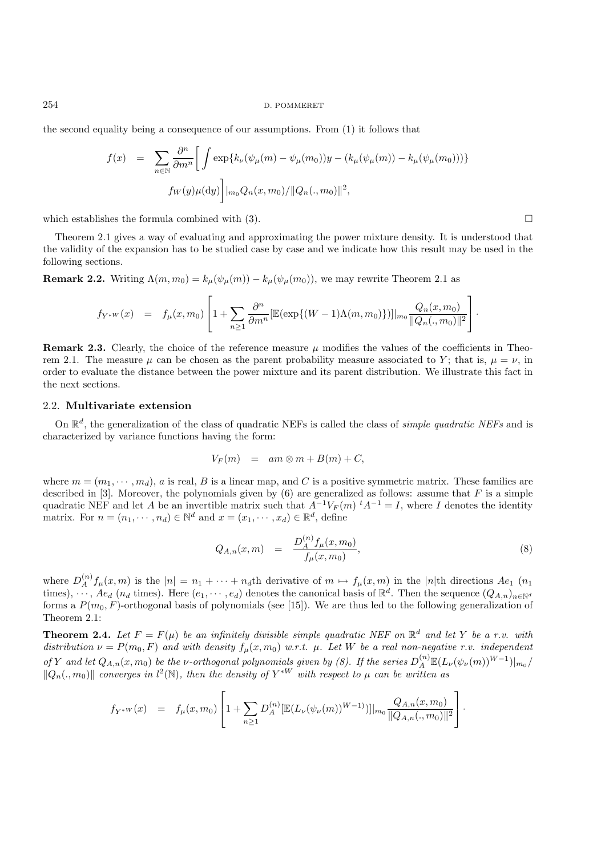the second equality being a consequence of our assumptions. From (1) it follows that

$$
f(x) = \sum_{n \in \mathbb{N}} \frac{\partial^n}{\partial m^n} \Big[ \int \exp\{k_\nu(\psi_\mu(m) - \psi_\mu(m_0))y - (k_\mu(\psi_\mu(m)) - k_\mu(\psi_\mu(m_0)))\}
$$

$$
f_W(y)\mu(\mathrm{d}y) \Big] |_{m_0} Q_n(x, m_0) / ||Q_n(., m_0)||^2,
$$

which establishes the formula combined with  $(3)$ .

Theorem 2.1 gives a way of evaluating and approximating the power mixture density. It is understood that the validity of the expansion has to be studied case by case and we indicate how this result may be used in the following sections.

**Remark 2.2.** Writing  $\Lambda(m, m_0) = k_\mu(\psi_\mu(m)) - k_\mu(\psi_\mu(m_0))$ , we may rewrite Theorem 2.1 as

$$
f_{Y^{*W}}(x) = f_{\mu}(x,m_0) \left[ 1 + \sum_{n \geq 1} \frac{\partial^n}{\partial m^n} \left[ \mathbb{E}(\exp\{(W-1)\Lambda(m,m_0)\}) \right] \Big|_{m_0} \frac{Q_n(x,m_0)}{\|Q_n(.,m_0)\|^2} \right].
$$

**Remark 2.3.** Clearly, the choice of the reference measure  $\mu$  modifies the values of the coefficients in Theorem 2.1. The measure  $\mu$  can be chosen as the parent probability measure associated to Y; that is,  $\mu = \nu$ , in order to evaluate the distance between the power mixture and its parent distribution. We illustrate this fact in the next sections.

## 2.2. **Multivariate extension**

On  $\mathbb{R}^d$ , the generalization of the class of quadratic NEFs is called the class of *simple quadratic NEFs* and is characterized by variance functions having the form:

$$
V_F(m) = am \otimes m + B(m) + C,
$$

where  $m = (m_1, \dots, m_d)$ , a is real, B is a linear map, and C is a positive symmetric matrix. These families are described in [3]. Moreover, the polynomials given by  $(6)$  are generalized as follows: assume that F is a simple quadratic NEF and let A be an invertible matrix such that  $A^{-1}V_F(m)$   $^tA^{-1} = I$ , where I denotes the identity matrix. For  $n = (n_1, \dots, n_d) \in \mathbb{N}^d$  and  $x = (x_1, \dots, x_d) \in \mathbb{R}^d$ , define

$$
Q_{A,n}(x,m) = \frac{D_A^{(n)} f_\mu(x,m_0)}{f_\mu(x,m_0)},
$$
\n(8)

where  $D_A^{(n)} f_\mu(x,m)$  is the  $|n| = n_1 + \cdots + n_d$ th derivative of  $m \mapsto f_\mu(x,m)$  in the  $|n|$ th directions  $Ae_1$  ( $n_1$ ) times),  $\ldots$ ,  $Ae_d$  ( $n_d$  times). Here  $(e_1, \ldots, e_d)$  denotes the canonical basis of  $\mathbb{R}^d$ . Then the sequence  $(Q_{A,n})_{n\in\mathbb{N}^d}$ forms a  $P(m_0, F)$ -orthogonal basis of polynomials (see [15]). We are thus led to the following generalization of Theorem 2.1:

**Theorem 2.4.** Let  $F = F(\mu)$  be an infinitely divisible simple quadratic NEF on  $\mathbb{R}^d$  and let Y be a r.v. with distribution  $\nu = P(m_0, F)$  and with density  $f_\mu(x, m_0)$  w.r.t.  $\mu$ . Let W be a real non-negative r.v. independent *of* Y and let  $Q_{A,n}(x,m_0)$  be the v-orthogonal polynomials given by (8). If the series  $D_A^{(n)} \mathbb{E}(L_\nu(\psi_\nu(m))^{W-1})|_{m_0}/$  $\|Q_n(.,m_0)\|$  converges in  $l^2(\mathbb{N})$ , then the density of  $Y^{*W}$  with respect to  $\mu$  can be written as

$$
f_{Y^*W}(x) = f_\mu(x, m_0) \left[ 1 + \sum_{n \geq 1} D_A^{(n)} [\mathbb{E}(L_\nu(\psi_\nu(m))^{W-1})] \big|_{m_0} \frac{Q_{A,n}(x, m_0)}{\|Q_{A,n}(.,m_0)\|^2} \right].
$$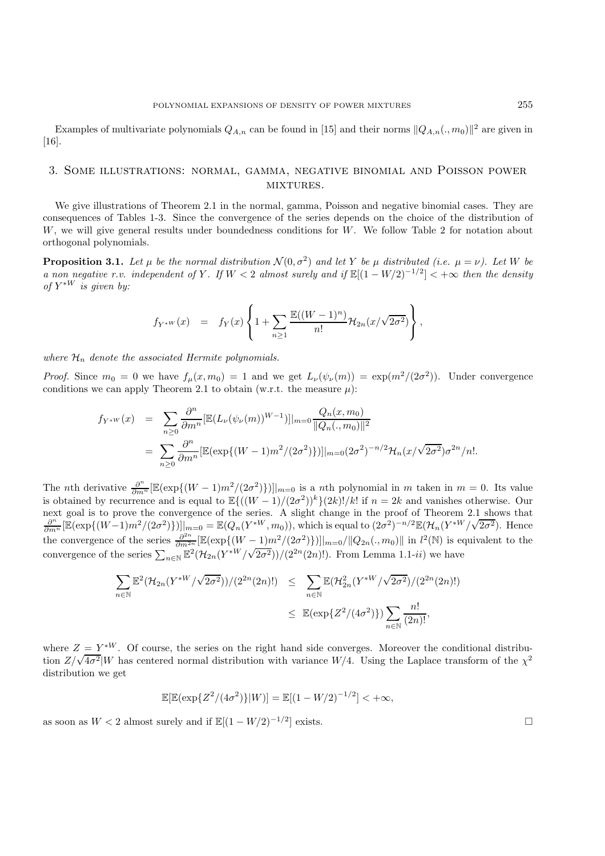Examples of multivariate polynomials  $Q_{A,n}$  can be found in [15] and their norms  $||Q_{A,n}(.,m_0)||^2$  are given in [16].

# 3. Some illustrations: normal, gamma, negative binomial and Poisson power MIXTURES.

We give illustrations of Theorem 2.1 in the normal, gamma, Poisson and negative binomial cases. They are consequences of Tables 1-3. Since the convergence of the series depends on the choice of the distribution of W, we will give general results under boundedness conditions for W. We follow Table 2 for notation about orthogonal polynomials.

**Proposition 3.1.** Let  $\mu$  be the normal distribution  $\mathcal{N}(0, \sigma^2)$  and let Y be  $\mu$  distributed (i.e.  $\mu = \nu$ ). Let W be *a non negative r.v. independent of* Y. If  $W < 2$  *almost surely and if*  $\mathbb{E}[(1 - W/2)^{-1/2}] < +\infty$  *then the density of*  $Y^*$ <sup>*w*</sup> *is given by:* 

$$
f_{Y^*W}(x) = f_Y(x) \left\{ 1 + \sum_{n \ge 1} \frac{\mathbb{E}((W-1)^n)}{n!} \mathcal{H}_{2n}(x/\sqrt{2\sigma^2}) \right\},
$$

where  $\mathcal{H}_n$  denote the associated Hermite polynomials.

*Proof.* Since  $m_0 = 0$  we have  $f_\mu(x, m_0) = 1$  and we get  $L_\nu(\psi_\nu(m)) = \exp(m^2/(2\sigma^2))$ . Under convergence conditions we can apply Theorem 2.1 to obtain (w.r.t. the measure  $\mu$ ):

$$
f_{Y^*W}(x) = \sum_{n\geq 0} \frac{\partial^n}{\partial m^n} [\mathbb{E}(L_\nu(\psi_\nu(m))^{W-1})]|_{m=0} \frac{Q_n(x, m_0)}{\|Q_n(., m_0)\|^2}
$$
  
= 
$$
\sum_{n\geq 0} \frac{\partial^n}{\partial m^n} [\mathbb{E}(\exp\{(W-1)m^2/(2\sigma^2)\})]|_{m=0} (2\sigma^2)^{-n/2} \mathcal{H}_n(x/\sqrt{2\sigma^2}) \sigma^{2n}/n!.
$$

The *n*th derivative  $\frac{\partial^n}{\partial m^n} [\mathbb{E}(\exp\{(W-1)m^2/(2\sigma^2)\})]|_{m=0}$  is a *n*th polynomial in m taken in  $m=0$ . Its value is obtained by recurrence and is equal to  $\mathbb{E}\{((W-1)/(2\sigma^2))^k\}(2k)!/k!$  if  $n=2k$  and vanishes otherwise. Our next goal is to prove the convergence of the series. A slight change in the proof of Theorem 2.1 shows that  $\frac{\partial^n}{\partial m^n} [\mathbb{E}(\exp\{(W-1)m^2/(2\sigma^2)\})]]_{m=0} = \mathbb{E}(Q_n(Y^{*W}, m_0))$ , which is equal to  $(2\sigma^2)^{-n/2} \mathbb{E}(\mathcal{H}_n(Y^{*W}/\$  $2\sigma^2$ ). Hence the convergence of the series  $\frac{\partial^{2n}}{\partial m^{2n}} \left[ \mathbb{E}(\exp\{(W-1)m^2/(2\sigma^2)\}) \right]_{m=0}/\|Q_{2n}(.,m_0)\|$  in  $l^2(\mathbb{N})$  is equivalent to the convergence of the series  $\sum_{n\in\mathbb{N}} \mathbb{E}^2(\mathcal{H}_{2n}(Y^*W/\sqrt{2\sigma^2}))/(2^{2n}(2n)!)$ . From Lemma 1.1-*ii*) we have

$$
\sum_{n \in \mathbb{N}} \mathbb{E}^2 (\mathcal{H}_{2n}(Y^{*W}/\sqrt{2\sigma^2}))/(2^{2n}(2n)!) \leq \sum_{n \in \mathbb{N}} \mathbb{E}(\mathcal{H}_{2n}^2(Y^{*W}/\sqrt{2\sigma^2})/(2^{2n}(2n)!)
$$
  

$$
\leq \mathbb{E}(\exp\{Z^2/(4\sigma^2)\}) \sum_{n \in \mathbb{N}} \frac{n!}{(2n)!},
$$

where  $Z = Y^{*W}$ . Of course, the series on the right hand side converges. Moreover the conditional distribuwhere  $Z = Y^{\prime\prime}$ . Or course, the series on the right hand side converges. Moreover the conditional distribution  $Z/\sqrt{4\sigma^2}$  W has centered normal distribution with variance  $W/4$ . Using the Laplace transform of the  $\chi^$ distribution we get

$$
\mathbb{E}[\mathbb{E}(\exp\{Z^2/(4\sigma^2)\}|W)] = \mathbb{E}[(1-W/2)^{-1/2}] < +\infty,
$$

as soon as  $W < 2$  almost surely and if  $\mathbb{E}[(1 - W/2)^{-1/2}]$  exists.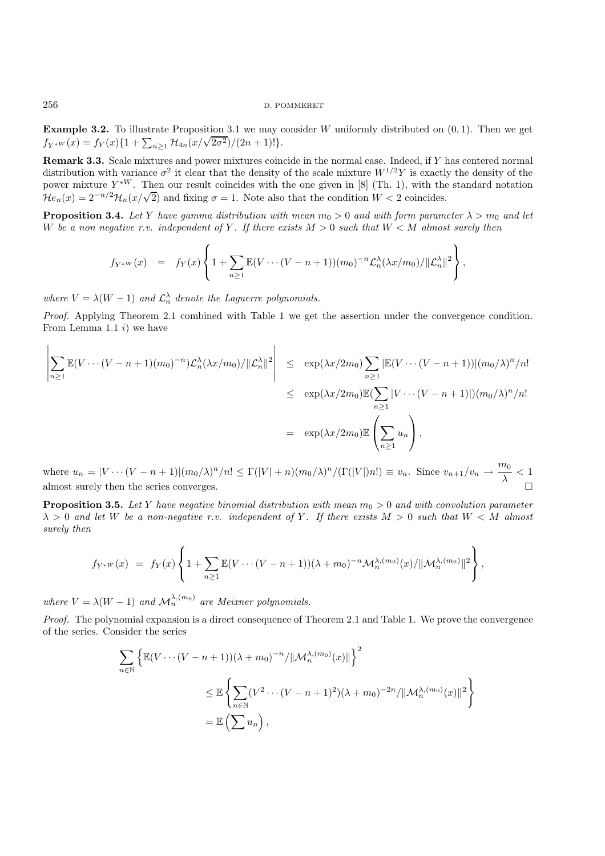**Example 3.2.** To illustrate Proposition 3.1 we may consider W uniformly distributed on  $(0, 1)$ . Then we get **Example 3.2.** To must are Froposition 3.1 we may be  $f_{Y^*W}(x) = f_Y(x)\{1 + \sum_{n\geq 1} \mathcal{H}_{4n}(x/\sqrt{2\sigma^2})/(2n+1)!\}.$ 

**Remark 3.3.** Scale mixtures and power mixtures coincide in the normal case. Indeed, if Y has centered normal distribution with variance  $\sigma^2$  it clear that the density of the scale mixture  $W^{1/2}Y$  is exactly the density of the power mixture  $Y^{\ast W}$ . Then our result coincides with the one given in [8] (Th. 1), with the standard notation  $\mathcal{H}e_n(x)=2^{-n/2}\mathcal{H}_n(x/\sqrt{2})$  and fixing  $\sigma=1$ . Note also that the condition  $W<2$  coincides.

**Proposition 3.4.** *Let* Y *have gamma distribution with mean*  $m_0 > 0$  *and with form parameter*  $\lambda > m_0$  *and let* W be a non negative r.v. independent of Y. If there exists  $M > 0$  such that  $W < M$  almost surely then

$$
f_{Y^*W}(x) = f_Y(x) \left\{ 1 + \sum_{n\geq 1} \mathbb{E}(V\cdots (V-n+1))(m_0)^{-n} \mathcal{L}_n^{\lambda}(\lambda x/m_0) / ||\mathcal{L}_n^{\lambda}||^2 \right\},
$$

where  $V = \lambda(W - 1)$  and  $\mathcal{L}_n^{\lambda}$  denote the Laguerre polynomials.

*Proof.* Applying Theorem 2.1 combined with Table 1 we get the assertion under the convergence condition. From Lemma 1.1  $i$ ) we have

$$
\left| \sum_{n\geq 1} \mathbb{E}(V\cdots(V-n+1)(m_0)^{-n}) \mathcal{L}_n^{\lambda}(\lambda x/m_0) / \|\mathcal{L}_n^{\lambda}\|^2 \right| \leq \exp(\lambda x/2m_0) \sum_{n\geq 1} |\mathbb{E}(V\cdots(V-n+1))|(m_0/\lambda)^n/n!
$$
  

$$
\leq \exp(\lambda x/2m_0) \mathbb{E}(\sum_{n\geq 1} |V\cdots(V-n+1)|)(m_0/\lambda)^n/n!
$$
  

$$
= \exp(\lambda x/2m_0) \mathbb{E}(\sum_{n\geq 1} u_n),
$$

where  $u_n = |V \cdots (V - n + 1)| (m_0/\lambda)^n/n! \leq \Gamma(|V| + n) (m_0/\lambda)^n / (\Gamma(|V|) n!) \equiv v_n$ . Since  $v_{n+1}/v_n \to \frac{m_0}{\lambda} < 1$ almost surely then the series converges.

**Proposition 3.5.** *Let* Y *have negative binomial distribution with mean*  $m_0 > 0$  *and with convolution parameter*  $\lambda > 0$  and let W be a non-negative r.v. independent of Y. If there exists  $M > 0$  such that  $W < M$  almost *surely then*

$$
f_{Y^*W}(x) = f_Y(x) \left\{ 1 + \sum_{n\geq 1} \mathbb{E}(V\cdots (V-n+1)) (\lambda + m_0)^{-n} \mathcal{M}_n^{\lambda,(m_0)}(x) / \|\mathcal{M}_n^{\lambda,(m_0)}\|^2 \right\},
$$

*where*  $V = \lambda(W - 1)$  *and*  $\mathcal{M}_n^{\lambda,(m_0)}$  *are Meixner polynomials.* 

*Proof.* The polynomial expansion is a direct consequence of Theorem 2.1 and Table 1. We prove the convergence of the series. Consider the series

$$
\sum_{n\in\mathbb{N}} \left\{ \mathbb{E}(V\cdots(V-n+1))(\lambda+m_0)^{-n}/\|\mathcal{M}_n^{\lambda,(m_0)}(x)\| \right\}^2
$$
  

$$
\leq \mathbb{E}\left\{ \sum_{n\in\mathbb{N}} (V^2\cdots(V-n+1)^2)(\lambda+m_0)^{-2n}/\|\mathcal{M}_n^{\lambda,(m_0)}(x)\|^2 \right\}
$$
  

$$
= \mathbb{E}\left(\sum u_n\right),
$$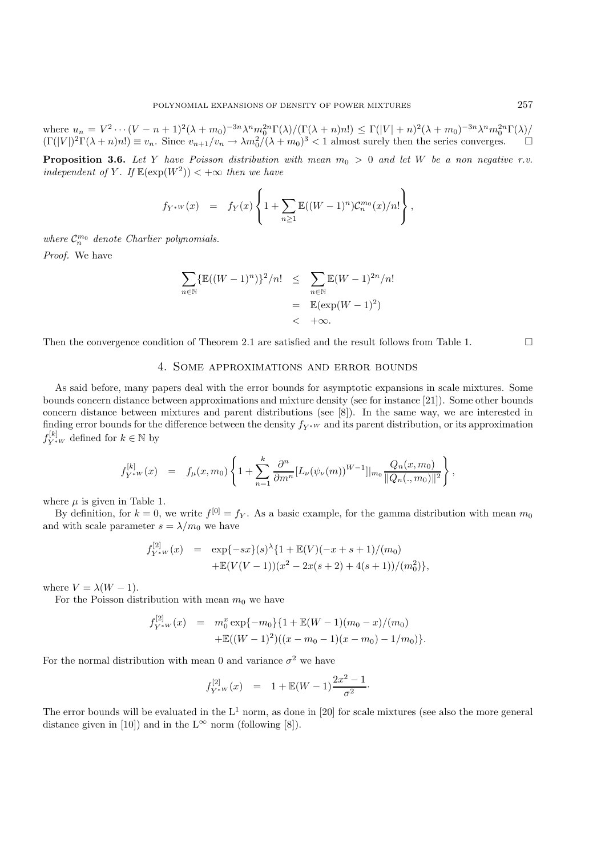where  $u_n = V^2 \cdots (V - n + 1)^2 (\lambda + m_0)^{-3n} \lambda^n m_0^{2n} \Gamma(\lambda) / (\Gamma(\lambda + n) n!) \leq \Gamma(|V| + n)^2 (\lambda + m_0)^{-3n} \lambda^n m_0^{2n} \Gamma(\lambda) /$  $(\Gamma(|V|)^2 \Gamma(\lambda + n) n!) \equiv v_n$ . Since  $v_{n+1}/v_n \to \lambda m_0^2/(\lambda + m_0)^3 < 1$  almost surely then the series converges.  $\Box$ 

**Proposition 3.6.** Let Y have Poisson distribution with mean  $m_0 > 0$  and let W be a non negative r.v. *independent of* Y. If  $\mathbb{E}(\exp(W^2)) < +\infty$  *then we have* 

$$
f_{Y^*W}(x) = f_Y(x) \left\{ 1 + \sum_{n \ge 1} \mathbb{E}((W-1)^n) C_n^{m_0}(x)/n! \right\},\,
$$

where  $C_n^{m_0}$  denote Charlier polynomials.

*Proof.* We have

$$
\sum_{n \in \mathbb{N}} {\{\mathbb{E}((W-1)^n)\}^2/n!} \leq \sum_{n \in \mathbb{N}} {\mathbb{E}(W-1)^{2n}}/n!
$$
  
=  $\mathbb{E}(\exp(W-1)^2)$   
<  $+\infty$ .

Then the convergence condition of Theorem 2.1 are satisfied and the result follows from Table 1.  $\Box$ 

# 4. Some approximations and error bounds

As said before, many papers deal with the error bounds for asymptotic expansions in scale mixtures. Some bounds concern distance between approximations and mixture density (see for instance [21]). Some other bounds concern distance between mixtures and parent distributions (see [8]). In the same way, we are interested in finding error bounds for the difference between the density  $f_{Y^*W}$  and its parent distribution, or its approximation  $f_{Y^*W}^{[k]}$  defined for  $k \in \mathbb{N}$  by

$$
f_{Y^{*W}}^{[k]}(x) = f_{\mu}(x,m_0) \left\{ 1 + \sum_{n=1}^{k} \frac{\partial^n}{\partial m^n} [L_{\nu}(\psi_{\nu}(m))^{W-1}]|_{m_0} \frac{Q_n(x,m_0)}{\|Q_n(.,m_0)\|^2} \right\},
$$

where  $\mu$  is given in Table 1.

By definition, for  $k = 0$ , we write  $f^{[0]} = f_Y$ . As a basic example, for the gamma distribution with mean  $m_0$ and with scale parameter  $s = \lambda/m_0$  we have

$$
f_{Y^*W}^{[2]}(x) = \exp\{-sx\}(s)^{\lambda}\{1 + \mathbb{E}(V)(-x+s+1)/(m_0) + \mathbb{E}(V(V-1))(x^2 - 2x(s+2) + 4(s+1))/(m_0^2)\},\
$$

where  $V = \lambda(W - 1)$ .

For the Poisson distribution with mean  $m_0$  we have

$$
f_{Y^*W}^{[2]}(x) = m_0^x \exp\{-m_0\} \{1 + \mathbb{E}(W - 1)(m_0 - x)/(m_0) + \mathbb{E}((W - 1)^2)((x - m_0 - 1)(x - m_0) - 1/m_0)\}
$$

For the normal distribution with mean 0 and variance  $\sigma^2$  we have

$$
f_{Y^*W}^{[2]}(x) = 1 + \mathbb{E}(W - 1) \frac{2x^2 - 1}{\sigma^2}.
$$

The error bounds will be evaluated in the  $L^1$  norm, as done in [20] for scale mixtures (see also the more general distance given in [10]) and in the  $L^{\infty}$  norm (following [8]).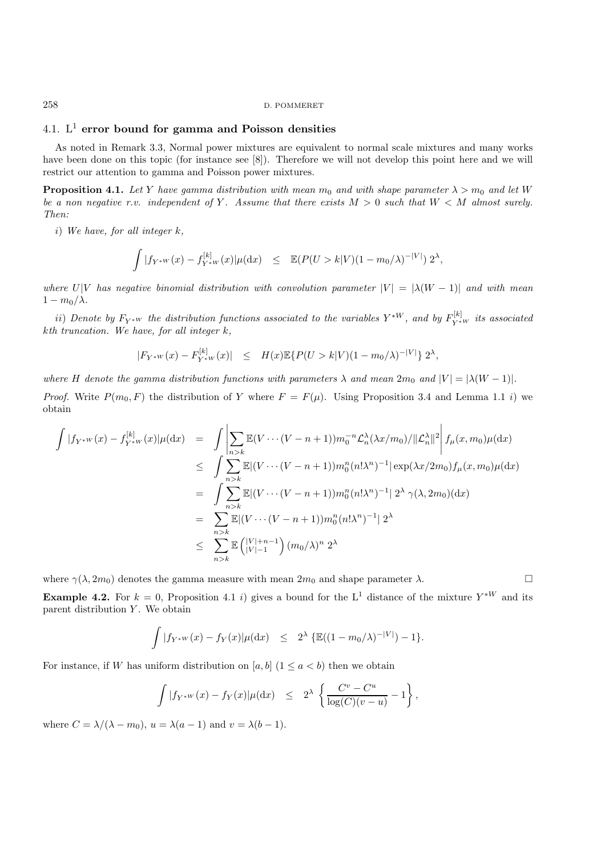# 4.1. L<sup>1</sup> **error bound for gamma and Poisson densities**

As noted in Remark 3.3, Normal power mixtures are equivalent to normal scale mixtures and many works have been done on this topic (for instance see [8]). Therefore we will not develop this point here and we will restrict our attention to gamma and Poisson power mixtures.

**Proposition 4.1.** *Let* Y *have gamma distribution with mean*  $m_0$  *and with shape parameter*  $\lambda > m_0$  *and let* W *be a non negative r.v. independent of* Y. Assume that there exists  $M > 0$  such that  $W < M$  almost surely. *Then:*

i) *We have, for all integer* k*,*

$$
\int |f_{Y^*W}(x) - f_{Y^*W}^{[k]}(x)| \mu(\mathrm{d}x) \leq \mathbb{E}(P(U > k|V)(1 - m_0/\lambda)^{-|V|}) 2^{\lambda},
$$

*where*  $U|V$  *has negative binomial distribution with convolution parameter*  $|V| = |\lambda(W - 1)|$  *and with mean*  $1 - m_0/\lambda$ .

 $ii)$  *Denote by*  $F_{Y^*W}$  the distribution functions associated to the variables  $Y^{*W}$ *, and by*  $F_{Y^{*W}}^{[k]}$  its associated k*th truncation. We have, for all integer* k*,*

$$
|F_{Y^*W}(x) - F_{Y^*W}^{[k]}(x)| \leq H(x) \mathbb{E} \{ P(U > k | V) (1 - m_0/\lambda)^{-|V|} \} 2^{\lambda},
$$

*where* H denote the gamma distribution functions with parameters  $\lambda$  and mean  $2m_0$  and  $|V| = |\lambda(W - 1)|$ .

*Proof.* Write  $P(m_0, F)$  the distribution of Y where  $F = F(\mu)$ . Using Proposition 3.4 and Lemma 1.1 i) we obtain

$$
\int |f_{Y^{*W}}(x) - f_{Y^{*W}}^{[k]}(x)| \mu(\mathrm{d}x) = \int \left| \sum_{n>k} \mathbb{E}(V \cdots (V - n + 1)) m_0^{-n} \mathcal{L}_n^{\lambda}(\lambda x/m_0) / ||\mathcal{L}_n^{\lambda}||^2 \right| f_{\mu}(x, m_0) \mu(\mathrm{d}x)
$$
\n
$$
\leq \int \sum_{n>k} \mathbb{E} |(V \cdots (V - n + 1)) m_0^n (n! \lambda^n)^{-1} | \exp(\lambda x/2m_0) f_{\mu}(x, m_0) \mu(\mathrm{d}x)
$$
\n
$$
= \int \sum_{n>k} \mathbb{E} |(V \cdots (V - n + 1)) m_0^n (n! \lambda^n)^{-1} | 2^{\lambda} \gamma(\lambda, 2m_0) (\mathrm{d}x)
$$
\n
$$
= \sum_{n>k} \mathbb{E} |(V \cdots (V - n + 1)) m_0^n (n! \lambda^n)^{-1} | 2^{\lambda}
$$
\n
$$
\leq \sum_{n>k} \mathbb{E} \left( \frac{|V| + n - 1}{|V| - 1} \right) (m_0/\lambda)^n 2^{\lambda}
$$

where  $\gamma(\lambda, 2m_0)$  denotes the gamma measure with mean  $2m_0$  and shape parameter  $\lambda$ .

**Example 4.2.** For  $k = 0$ , Proposition 4.1 i) gives a bound for the L<sup>1</sup> distance of the mixture  $Y^{*W}$  and its parent distribution  $Y$ . We obtain

$$
\int |f_{Y^*W}(x) - f_Y(x)| \mu(\mathrm{d}x) \leq 2^{\lambda} \left\{ \mathbb{E}((1 - m_0/\lambda)^{-|V|}) - 1 \right\}.
$$

For instance, if W has uniform distribution on [a, b]  $(1 \le a < b)$  then we obtain

$$
\int |f_{Y^*W}(x) - f_Y(x)| \mu(dx) \leq 2^{\lambda} \left\{ \frac{C^v - C^u}{\log(C)(v - u)} - 1 \right\},\,
$$

where  $C = \lambda/(\lambda - m_0)$ ,  $u = \lambda(a - 1)$  and  $v = \lambda(b - 1)$ .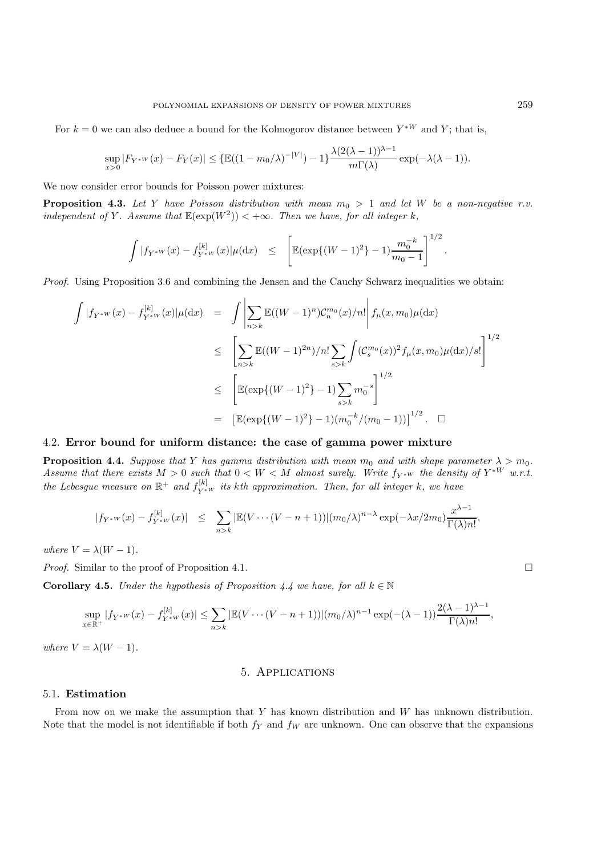For  $k = 0$  we can also deduce a bound for the Kolmogorov distance between  $Y^{*W}$  and Y; that is,

$$
\sup_{x>0}|F_{Y^*W}(x)-F_Y(x)| \leq {\mathbb{E}}((1-m_0/\lambda)^{-|V|})-1\}\frac{\lambda(2(\lambda-1))^{\lambda-1}}{m\Gamma(\lambda)}\exp(-\lambda(\lambda-1)).
$$

We now consider error bounds for Poisson power mixtures:

**Proposition 4.3.** *Let* Y *have Poisson distribution with mean* m<sup>0</sup> > 1 *and let* W *be a non-negative r.v. independent of* Y. Assume that  $\mathbb{E}(\exp(W^2)) < +\infty$ *. Then we have, for all integer k,* 

$$
\int |f_{Y^*W}(x) - f_{Y^*W}^{[k]}(x)| \mu(\mathrm{d}x) \leq \left[ \mathbb{E}(\exp\{(W-1)^2\} - 1) \frac{m_0^{-k}}{m_0 - 1} \right]^{1/2}.
$$

*Proof.* Using Proposition 3.6 and combining the Jensen and the Cauchy Schwarz inequalities we obtain:

$$
\int |f_{Y^{*W}}(x) - f_{Y^{*W}}^{[k]}(x)| \mu(\mathrm{d}x) = \int \left| \sum_{n>k} \mathbb{E}((W-1)^n) \mathcal{C}_n^{m_0}(x)/n! \right| f_{\mu}(x, m_0) \mu(\mathrm{d}x)
$$
  
\n
$$
\leq \left[ \sum_{n>k} \mathbb{E}((W-1)^{2n})/n! \sum_{s>k} \int (\mathcal{C}_s^{m_0}(x))^2 f_{\mu}(x, m_0) \mu(\mathrm{d}x)/s! \right]^{1/2}
$$
  
\n
$$
\leq \left[ \mathbb{E}(\exp\{(W-1)^2\} - 1) \sum_{s>k} m_0^{-s} \right]^{1/2}
$$
  
\n
$$
= \left[ \mathbb{E}(\exp\{(W-1)^2\} - 1) (m_0^{-k}/(m_0 - 1)) \right]^{1/2}. \quad \Box
$$

## 4.2. **Error bound for uniform distance: the case of gamma power mixture**

**Proposition 4.4.** *Suppose that* Y *has gamma distribution with mean*  $m_0$  *and with shape parameter*  $\lambda > m_0$ *. Assume that there exists*  $M > 0$  *such that*  $0 < W < M$  *almost surely. Write*  $f_{Y^*W}$  *the density of*  $Y^{*W}$  *w.r.t.*  $\mathbb{R}^+$  *the Lebesgue measure on*  $\mathbb{R}^+$  *and*  $f_{Y^*W}^{[k]}$  *its kth approximation. Then, for all integer* k, we have

$$
|f_{Y^*W}(x) - f_{Y^*W}^{[k]}(x)| \le \sum_{n > k} |\mathbb{E}(V \cdots (V - n + 1))|(m_0/\lambda)^{n-\lambda} \exp(-\lambda x/2m_0) \frac{x^{\lambda-1}}{\Gamma(\lambda)n!},
$$

*where*  $V = \lambda(W - 1)$ *.* 

*Proof.* Similar to the proof of Proposition 4.1. □

**Corollary 4.5.** *Under the hypothesis of Proposition 4.4 we have, for all*  $k \in \mathbb{N}$ 

$$
\sup_{x \in \mathbb{R}^+} |f_{Y^{*W}}(x) - f_{Y^{*W}}^{[k]}(x)| \le \sum_{n > k} |\mathbb{E}(V \cdots (V - n + 1))|(m_0/\lambda)^{n-1} \exp(-(\lambda - 1)) \frac{2(\lambda - 1)^{\lambda - 1}}{\Gamma(\lambda)n!},
$$

*where*  $V = \lambda(W - 1)$ *.* 

#### 5. Applications

#### 5.1. **Estimation**

From now on we make the assumption that Y has known distribution and W has unknown distribution. Note that the model is not identifiable if both  $f<sub>Y</sub>$  and  $f<sub>W</sub>$  are unknown. One can observe that the expansions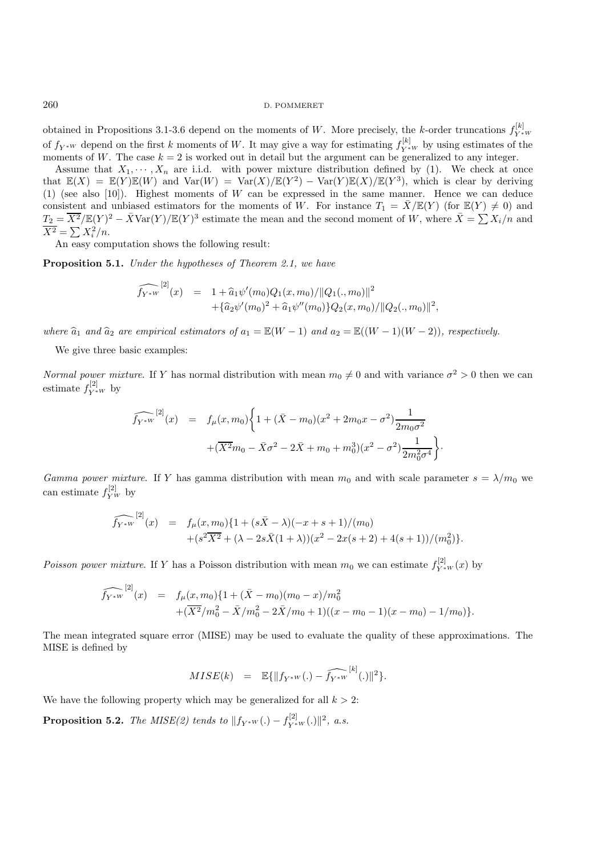obtained in Propositions 3.1-3.6 depend on the moments of W. More precisely, the k-order truncations  $f_{Y*W}^{[k]}$ of  $f_{Y^*W}$  depend on the first k moments of W. It may give a way for estimating  $f_{Y^*W}^{[k]}$  by using estimates of the moments of W. The case  $k = 2$  is worked out in detail but the argument can be generalized to any integer.

Assume that  $X_1, \dots, X_n$  are i.i.d. with power mixture distribution defined by (1). We check at once that  $\mathbb{E}(X) = \mathbb{E}(Y)\mathbb{E}(W)$  and  $\text{Var}(W) = \text{Var}(X)/\mathbb{E}(Y^2) - \text{Var}(Y)\mathbb{E}(X)/\mathbb{E}(Y^3)$ , which is clear by deriving (1) (see also [10]). Highest moments of  $W$  can be expressed in the same manner. Hence we can deduce consistent and unbiased estimators for the moments of W. For instance  $T_1 = \overline{X}/\mathbb{E}(Y)$  (for  $\mathbb{E}(Y) \neq 0$ ) and  $T_2 = \overline{X^2}/\mathbb{E}(Y)^2 - \overline{X}\text{Var}(Y)/\mathbb{E}(Y)^3$  estimate the mean and the second moment of W, where  $\overline{X} = \sum X_i/n$  and  $\overline{X^2} = \sum X_i^2/n.$ 

An easy computation shows the following result:

**Proposition 5.1.** *Under the hypotheses of Theorem 2.1, we have*

$$
\widehat{f_{Y^*W}}^{[2]}(x) = 1 + \widehat{a}_1 \psi'(m_0) Q_1(x, m_0) / ||Q_1(., m_0)||^2 + \{\widehat{a}_2 \psi'(m_0)^2 + \widehat{a}_1 \psi''(m_0)\} Q_2(x, m_0) / ||Q_2(., m_0)||^2,
$$

*where*  $\hat{a}_1$  *and*  $\hat{a}_2$  *are empirical estimators of*  $a_1 = \mathbb{E}(W - 1)$  *and*  $a_2 = \mathbb{E}((W - 1)(W - 2))$ *, respectively.* 

We give three basic examples:

*Normal power mixture.* If Y has normal distribution with mean  $m_0 \neq 0$  and with variance  $\sigma^2 > 0$  then we can estimate  $f_{Y^*W}^{[2]}$  by

$$
\widehat{f_{Y^*W}}^{[2]}(x) = f_{\mu}(x, m_0) \left\{ 1 + (\bar{X} - m_0)(x^2 + 2m_0x - \sigma^2) \frac{1}{2m_0\sigma^2} + (\overline{X^2}m_0 - \bar{X}\sigma^2 - 2\bar{X} + m_0 + m_0^3)(x^2 - \sigma^2) \frac{1}{2m_0^2\sigma^4} \right\}.
$$

*Gamma power mixture*. If Y has gamma distribution with mean  $m_0$  and with scale parameter  $s = \lambda/m_0$  we can estimate  $f_{\overline{Y}W}^{[2]}$  by

$$
\widehat{f_{Y^*W}}^{[2]}(x) = f_\mu(x, m_0) \{ 1 + (s\bar{X} - \lambda)(-x + s + 1)/(m_0) + (s^2\bar{X}^2 + (\lambda - 2s\bar{X}(1 + \lambda))(x^2 - 2x(s + 2) + 4(s + 1))/(m_0^2) \}.
$$

*Poisson power mixture.* If Y has a Poisson distribution with mean  $m_0$  we can estimate  $f_{Y^*W}^{[2]}(x)$  by

$$
\widehat{f_{Y^*W}}^{[2]}(x) = f_{\mu}(x, m_0) \{ 1 + (\bar{X} - m_0)(m_0 - x)/m_0^2 + (\overline{X^2}/m_0^2 - \bar{X}/m_0^2 - 2\bar{X}/m_0 + 1)((x - m_0 - 1)(x - m_0) - 1/m_0) \}.
$$

The mean integrated square error (MISE) may be used to evaluate the quality of these approximations. The MISE is defined by

$$
MISE(k) = \mathbb{E}\{\|f_{Y^*W}(.) - \widehat{f_{Y^*W}}^{[k]}(.)\|^2\}.
$$

We have the following property which may be generalized for all  $k > 2$ :

**Proposition 5.2.** *The MISE(2) tends to*  $||f_{Y^*W}(.) - f_{Y^*W}^{[2]}(.)||^2$ , *a.s.*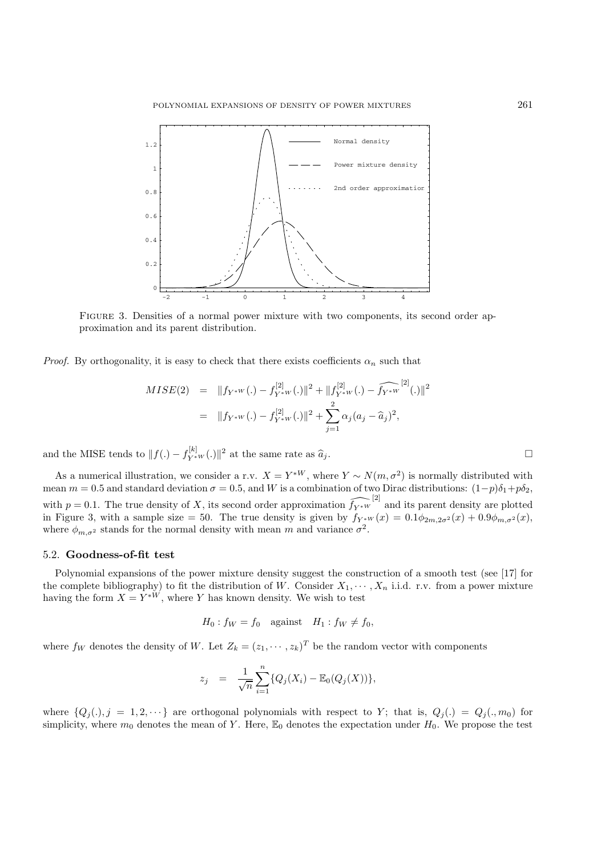

Figure 3. Densities of a normal power mixture with two components, its second order approximation and its parent distribution.

*Proof.* By orthogonality, it is easy to check that there exists coefficients  $\alpha_n$  such that

$$
MISE(2) = ||f_{Y^*W}(.) - f_{Y^*W}^{[2]}(.)||^2 + ||f_{Y^*W}^{[2]}(.) - \widehat{f_{Y^*W}}^{[2]}(.)||^2
$$
  
= 
$$
||f_{Y^*W}(.) - f_{Y^*W}^{[2]}(.)||^2 + \sum_{j=1}^2 \alpha_j (a_j - \widehat{a}_j)^2,
$$

and the MISE tends to  $|| f(.) - f_{Y^*W}^{[k]}(.) ||^2$  at the same rate as  $\hat{a}_j$ .

As a numerical illustration, we consider a r.v.  $X = Y^{*W}$ , where  $Y \sim N(m, \sigma^2)$  is normally distributed with mean  $m = 0.5$  and standard deviation  $\sigma = 0.5$ , and W is a combination of two Dirac distributions:  $(1-p)\delta_1 + p\delta_2$ , with  $p = 0.1$ . The true density of X, its second order approximation  $\widehat{f_{Y*w}}^{[2]}$  and its parent density are plotted in Figure 3, with a sample size = 50. The true density is given by  $f_{Y^*W}(x)=0.1\phi_{2m,2\sigma^2}(x)+0.9\phi_{m,\sigma^2}(x)$ , where  $\phi_{m,\sigma^2}$  stands for the normal density with mean m and variance  $\sigma^2$ .

## 5.2. **Goodness-of-fit test**

Polynomial expansions of the power mixture density suggest the construction of a smooth test (see [17] for the complete bibliography) to fit the distribution of W. Consider  $X_1, \dots, X_n$  i.i.d. r.v. from a power mixture having the form  $X = Y^{*W}$ , where Y has known density. We wish to test

$$
H_0: f_W = f_0 \quad \text{against} \quad H_1: f_W \neq f_0,
$$

where  $f_W$  denotes the density of W. Let  $Z_k = (z_1, \dots, z_k)^T$  be the random vector with components

$$
z_j = \frac{1}{\sqrt{n}} \sum_{i=1}^n \{Q_j(X_i) - \mathbb{E}_0(Q_j(X))\},
$$

where  $\{Q_j(.), j = 1, 2, \dots\}$  are orthogonal polynomials with respect to Y; that is,  $Q_j(.) = Q_j(., m_0)$  for simplicity, where  $m_0$  denotes the mean of Y. Here,  $\mathbb{E}_0$  denotes the expectation under  $H_0$ . We propose the test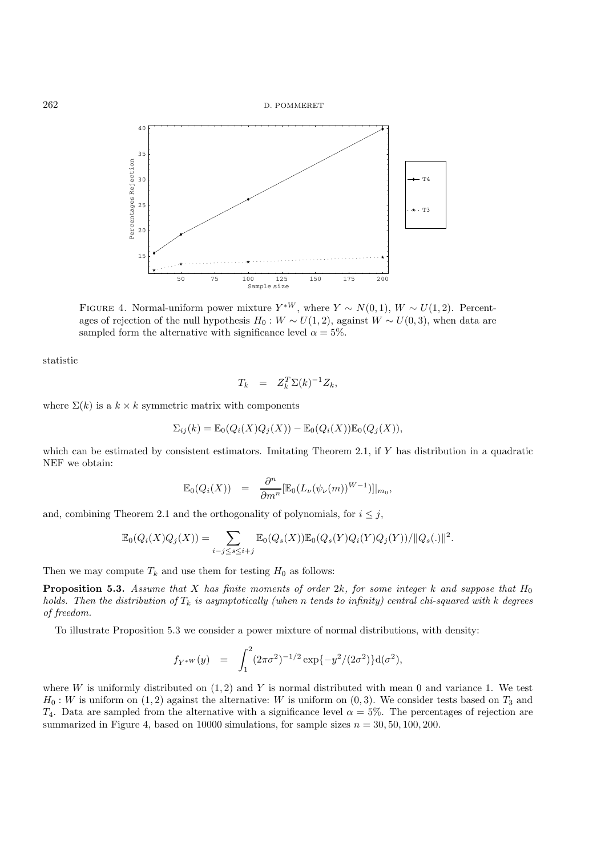

FIGURE 4. Normal-uniform power mixture  $Y^{*W}$ , where  $Y \sim N(0, 1)$ ,  $W \sim U(1, 2)$ . Percentages of rejection of the null hypothesis  $H_0 : W \sim U(1, 2)$ , against  $W \sim U(0, 3)$ , when data are sampled form the alternative with significance level  $\alpha = 5\%$ .

statistic

$$
T_k = Z_k^T \Sigma(k)^{-1} Z_k,
$$

where  $\Sigma(k)$  is a  $k \times k$  symmetric matrix with components

$$
\Sigma_{ij}(k) = \mathbb{E}_0(Q_i(X)Q_j(X)) - \mathbb{E}_0(Q_i(X))\mathbb{E}_0(Q_j(X)),
$$

which can be estimated by consistent estimators. Imitating Theorem 2.1, if  $Y$  has distribution in a quadratic NEF we obtain:

$$
\mathbb{E}_0(Q_i(X)) = \frac{\partial^n}{\partial m^n} [\mathbb{E}_0(L_\nu(\psi_\nu(m))^{W-1})]|_{m_0},
$$

and, combining Theorem 2.1 and the orthogonality of polynomials, for  $i \leq j$ ,

$$
\mathbb{E}_{0}(Q_{i}(X)Q_{j}(X)) = \sum_{i-j \leq s \leq i+j} \mathbb{E}_{0}(Q_{s}(X))\mathbb{E}_{0}(Q_{s}(Y)Q_{i}(Y)Q_{j}(Y))/||Q_{s}(.)||^{2}.
$$

Then we may compute  $T_k$  and use them for testing  $H_0$  as follows:

**Proposition 5.3.** *Assume that* X *has finite moments of order* 2k, for some integer k and suppose that  $H_0$ *holds. Then the distribution of*  $T_k$  *is asymptotically (when* n *tends to infinity) central chi-squared with* k *degrees of freedom.*

To illustrate Proposition 5.3 we consider a power mixture of normal distributions, with density:

$$
f_{Y^*W}(y) = \int_1^2 (2\pi\sigma^2)^{-1/2} \exp\{-y^2/(2\sigma^2)\} d(\sigma^2),
$$

where W is uniformly distributed on  $(1, 2)$  and Y is normal distributed with mean 0 and variance 1. We test  $H_0: W$  is uniform on  $(1, 2)$  against the alternative: W is uniform on  $(0, 3)$ . We consider tests based on  $T_3$  and T<sub>4</sub>. Data are sampled from the alternative with a significance level  $\alpha = 5\%$ . The percentages of rejection are summarized in Figure 4, based on 10000 simulations, for sample sizes  $n = 30, 50, 100, 200$ .